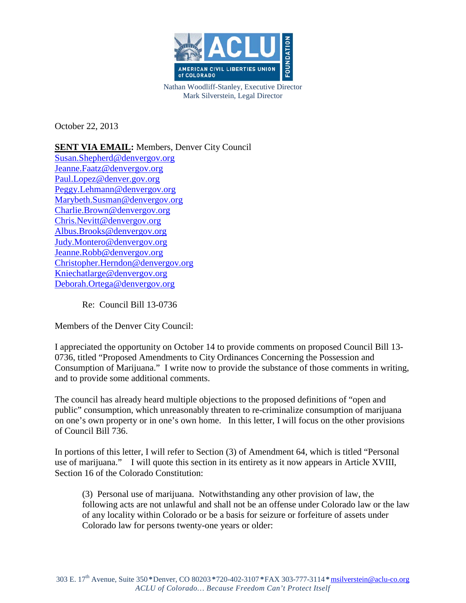

Nathan Woodliff-Stanley, Executive Director Mark Silverstein, Legal Director

October 22, 2013

# **SENT VIA EMAIL:** Members, Denver City Council

[Susan.Shepherd@denvergov.org](mailto:Susan.Shepherd@denvergov.org) [Jeanne.Faatz@denvergov.org](mailto:Jeanne.Faatz@denvergov.org) [Paul.Lopez@denver.gov.org](mailto:Paul.Lopez@denver.gov.org) [Peggy.Lehmann@denvergov.org](mailto:Peggy.Lehmann@denvergov.org) [Marybeth.Susman@denvergov.org](mailto:Marybeth.Susman@denvergov.org) [Charlie.Brown@denvergov.org](mailto:Charlie.Brown@denvergov.org) [Chris.Nevitt@denvergov.org](mailto:Chris.Nevitt@denvergov.org) [Albus.Brooks@denvergov.org](mailto:Albus.Brooks@denvergov.org) [Judy.Montero@denvergov.org](mailto:Judy.Montero@denvergov.org) [Jeanne.Robb@denvergov.org](mailto:Jeanne.Robb@denvergov.org) [Christopher.Herndon@denvergov.org](mailto:Christopher.Herndon@denvergov.org) [Kniechatlarge@denvergov.org](mailto:Kniechatlarge@denvergov.org) [Deborah.Ortega@denvergov.org](mailto:Deborah.Ortega@denvergov.org)

Re: Council Bill 13-0736

Members of the Denver City Council:

I appreciated the opportunity on October 14 to provide comments on proposed Council Bill 13- 0736, titled "Proposed Amendments to City Ordinances Concerning the Possession and Consumption of Marijuana." I write now to provide the substance of those comments in writing, and to provide some additional comments.

The council has already heard multiple objections to the proposed definitions of "open and public" consumption, which unreasonably threaten to re-criminalize consumption of marijuana on one's own property or in one's own home. In this letter, I will focus on the other provisions of Council Bill 736.

In portions of this letter, I will refer to Section (3) of Amendment 64, which is titled "Personal use of marijuana." I will quote this section in its entirety as it now appears in Article XVIII, Section 16 of the Colorado Constitution:

(3) Personal use of marijuana. Notwithstanding any other provision of law, the following acts are not unlawful and shall not be an offense under Colorado law or the law of any locality within Colorado or be a basis for seizure or forfeiture of assets under Colorado law for persons twenty-one years or older: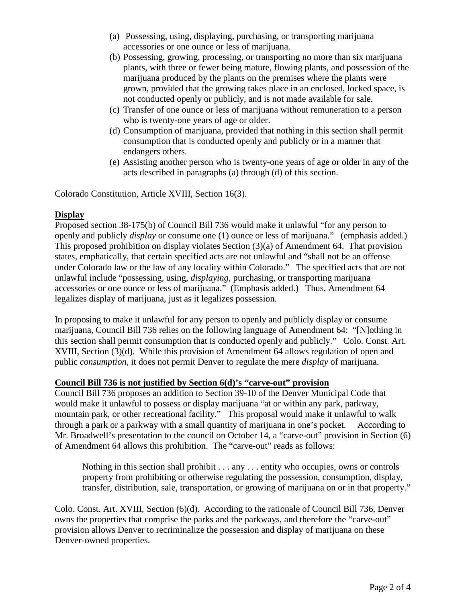- (a) Possessing, using, displaying, purchasing, or transporting marijuana accessories or one ounce or less of marijuana.
- (b) Possessing, growing, processing, or transporting no more than six marijuana plants, with three or fewer being mature, flowing plants, and possession of the marijuana produced by the plants on the premises where the plants were grown, provided that the growing takes place in an enclosed, locked space, is not conducted openly or publicly, and is not made available for sale.
- (c) Transfer of one ounce or less of marijuana without remuneration to a person who is twenty-one years of age or older.
- (d) Consumption of marijuana, provided that nothing in this section shall permit consumption that is conducted openly and publicly or in a manner that endangers others.
- (e) Assisting another person who is twenty-one years of age or older in any of the acts described in paragraphs (a) through (d) of this section.

Colorado Constitution, Article XVIII, Section 16(3).

## **Display**

Proposed section 38-175(b) of Council Bill 736 would make it unlawful "for any person to openly and publicly *display* or consume one (1) ounce or less of marijuana." (emphasis added.) This proposed prohibition on display violates Section (3)(a) of Amendment 64. That provision states, emphatically, that certain specified acts are not unlawful and "shall not be an offense under Colorado law or the law of any locality within Colorado." The specified acts that are not unlawful include "possessing, using, *displaying*, purchasing, or transporting marijuana accessories or one ounce or less of marijuana." (Emphasis added.) Thus, Amendment 64 legalizes display of marijuana, just as it legalizes possession.

In proposing to make it unlawful for any person to openly and publicly display or consume marijuana, Council Bill 736 relies on the following language of Amendment 64: "[N]othing in this section shall permit consumption that is conducted openly and publicly." Colo. Const. Art. XVIII, Section (3)(d). While this provision of Amendment 64 allows regulation of open and public *consumption*, it does not permit Denver to regulate the mere *display* of marijuana.

### **Council Bill 736 is not justified by Section 6(d)'s "carve-out" provision**

Council Bill 736 proposes an addition to Section 39-10 of the Denver Municipal Code that would make it unlawful to possess or display marijuana "at or within any park, parkway, mountain park, or other recreational facility." This proposal would make it unlawful to walk through a park or a parkway with a small quantity of marijuana in one's pocket. According to Mr. Broadwell's presentation to the council on October 14, a "carve-out" provision in Section (6) of Amendment 64 allows this prohibition. The "carve-out" reads as follows:

Nothing in this section shall prohibit . . . any . . . entity who occupies, owns or controls property from prohibiting or otherwise regulating the possession, consumption, display, transfer, distribution, sale, transportation, or growing of marijuana on or in that property."

Colo. Const. Art. XVIII, Section (6)(d). According to the rationale of Council Bill 736, Denver owns the properties that comprise the parks and the parkways, and therefore the "carve-out" provision allows Denver to recriminalize the possession and display of marijuana on these Denver-owned properties.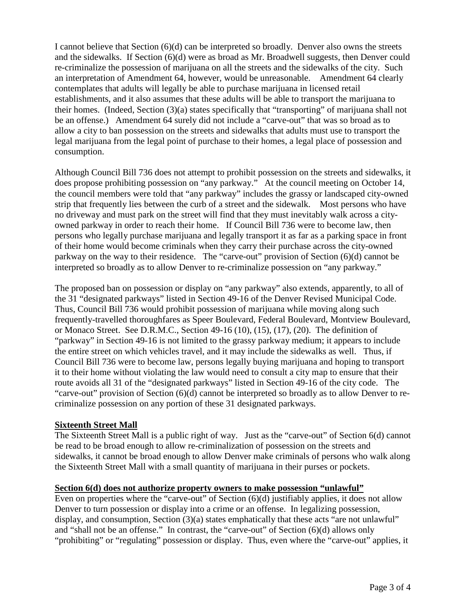I cannot believe that Section (6)(d) can be interpreted so broadly. Denver also owns the streets and the sidewalks. If Section (6)(d) were as broad as Mr. Broadwell suggests, then Denver could re-criminalize the possession of marijuana on all the streets and the sidewalks of the city. Such an interpretation of Amendment 64, however, would be unreasonable. Amendment 64 clearly contemplates that adults will legally be able to purchase marijuana in licensed retail establishments, and it also assumes that these adults will be able to transport the marijuana to their homes. (Indeed, Section (3)(a) states specifically that "transporting" of marijuana shall not be an offense.) Amendment 64 surely did not include a "carve-out" that was so broad as to allow a city to ban possession on the streets and sidewalks that adults must use to transport the legal marijuana from the legal point of purchase to their homes, a legal place of possession and consumption.

Although Council Bill 736 does not attempt to prohibit possession on the streets and sidewalks, it does propose prohibiting possession on "any parkway." At the council meeting on October 14, the council members were told that "any parkway" includes the grassy or landscaped city-owned strip that frequently lies between the curb of a street and the sidewalk. Most persons who have no driveway and must park on the street will find that they must inevitably walk across a cityowned parkway in order to reach their home. If Council Bill 736 were to become law, then persons who legally purchase marijuana and legally transport it as far as a parking space in front of their home would become criminals when they carry their purchase across the city-owned parkway on the way to their residence. The "carve-out" provision of Section (6)(d) cannot be interpreted so broadly as to allow Denver to re-criminalize possession on "any parkway."

The proposed ban on possession or display on "any parkway" also extends, apparently, to all of the 31 "designated parkways" listed in Section 49-16 of the Denver Revised Municipal Code. Thus, Council Bill 736 would prohibit possession of marijuana while moving along such frequently-travelled thoroughfares as Speer Boulevard, Federal Boulevard, Montview Boulevard, or Monaco Street. See D.R.M.C., Section 49-16 (10), (15), (17), (20). The definition of "parkway" in Section 49-16 is not limited to the grassy parkway medium; it appears to include the entire street on which vehicles travel, and it may include the sidewalks as well. Thus, if Council Bill 736 were to become law, persons legally buying marijuana and hoping to transport it to their home without violating the law would need to consult a city map to ensure that their route avoids all 31 of the "designated parkways" listed in Section 49-16 of the city code. The "carve-out" provision of Section (6)(d) cannot be interpreted so broadly as to allow Denver to recriminalize possession on any portion of these 31 designated parkways.

### **Sixteenth Street Mall**

The Sixteenth Street Mall is a public right of way. Just as the "carve-out" of Section 6(d) cannot be read to be broad enough to allow re-criminalization of possession on the streets and sidewalks, it cannot be broad enough to allow Denver make criminals of persons who walk along the Sixteenth Street Mall with a small quantity of marijuana in their purses or pockets.

## **Section 6(d) does not authorize property owners to make possession "unlawful"**

Even on properties where the "carve-out" of Section  $(6)(d)$  justifiably applies, it does not allow Denver to turn possession or display into a crime or an offense. In legalizing possession, display, and consumption, Section (3)(a) states emphatically that these acts "are not unlawful" and "shall not be an offense." In contrast, the "carve-out" of Section (6)(d) allows only "prohibiting" or "regulating" possession or display. Thus, even where the "carve-out" applies, it